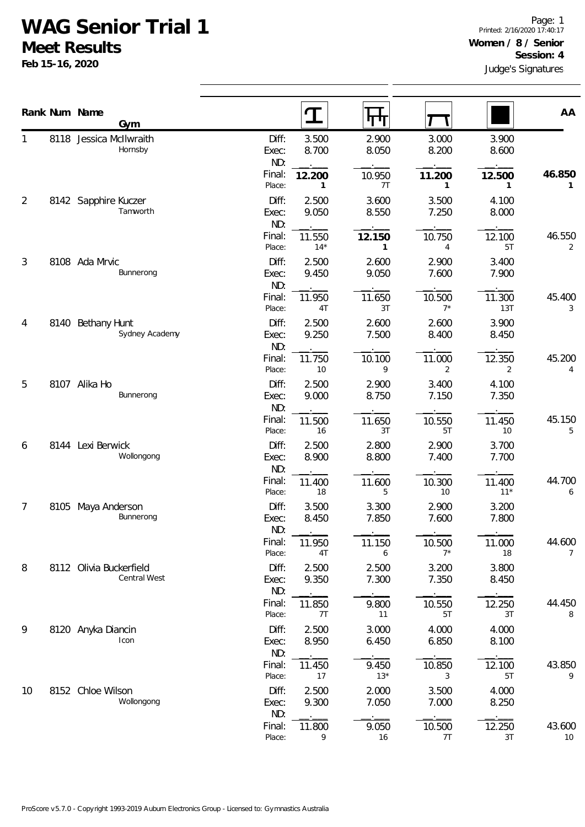## **WAG Senior Trial 1**

**Meet Results**

**Feb 15-16, 2020**

|                | Rank Num Name<br>Gym                           |                       |                 | पग                     |                 |                          | AA                       |
|----------------|------------------------------------------------|-----------------------|-----------------|------------------------|-----------------|--------------------------|--------------------------|
| 1              | 8118 Jessica McIlwraith<br>Hornsby             | Diff:<br>Exec:<br>ND: | 3.500<br>8.700  | 2.900<br>8.050         | 3.000<br>8.200  | 3.900<br>8.600           |                          |
|                |                                                | Final:<br>Place:      | 12.200<br>1     | 10.950<br>7T           | 11.200<br>1     | 12.500<br>$\mathbf{1}$   | 46.850<br>1              |
| $\overline{2}$ | 8142 Sapphire Kuczer<br>Tamworth               | Diff:<br>Exec:<br>ND: | 2.500<br>9.050  | 3.600<br>8.550         | 3.500<br>7.250  | 4.100<br>8.000           |                          |
|                |                                                | Final:<br>Place:      | 11.550<br>$14*$ | 12.150<br>$\mathbf{1}$ | 10.750<br>4     | 12.100<br>5T             | 46.550<br>2              |
| 3              | 8108 Ada Mrvic<br>Bunnerong                    | Diff:<br>Exec:<br>ND: | 2.500<br>9.450  | 2.600<br>9.050         | 2.900<br>7.600  | 3.400<br>7.900           |                          |
|                |                                                | Final:<br>Place:      | 11.950<br>4T    | 11.650<br>3T           | 10.500<br>$7^*$ | 11.300<br>13T            | 45.400<br>3              |
| 4<br>5<br>6    | 8140 Bethany Hunt<br>Sydney Academy            | Diff:<br>Exec:<br>ND: | 2.500<br>9.250  | 2.600<br>7.500         | 2.600<br>8.400  | 3.900<br>8.450           |                          |
|                |                                                | Final:<br>Place:      | 11.750<br>10    | 10.100<br>9            | 11.000<br>2     | 12.350<br>$\overline{2}$ | 45.200<br>4              |
|                | 8107 Alika Ho<br>Bunnerong                     | Diff:<br>Exec:<br>ND: | 2.500<br>9.000  | 2.900<br>8.750         | 3.400<br>7.150  | 4.100<br>7.350           |                          |
|                |                                                | Final:<br>Place:      | 11.500<br>16    | 11.650<br>3T           | 10.550<br>5T    | 11.450<br>10             | 45.150<br>5              |
|                | 8144 Lexi Berwick<br>Wollongong                | Diff:<br>Exec:<br>ND: | 2.500<br>8.900  | 2.800<br>8.800         | 2.900<br>7.400  | 3.700<br>7.700           |                          |
|                |                                                | Final:<br>Place:      | 11.400<br>18    | 11.600<br>5            | 10.300<br>10    | 11.400<br>$11*$          | 44.700<br>6              |
| $\overline{7}$ | 8105 Maya Anderson<br>Bunnerong                | Diff:<br>Exec:<br>ND: | 3.500<br>8.450  | 3.300<br>7.850         | 2.900<br>7.600  | 3.200<br>7.800           |                          |
|                |                                                | Final:<br>Place:      | 11.950<br>4T    | 11.150<br>6            | 10.500<br>$7^*$ | 11.000<br>18             | 44.600<br>$\overline{7}$ |
| 8              | 8112 Olivia Buckerfield<br><b>Central West</b> | Diff:<br>Exec:<br>ND: | 2.500<br>9.350  | 2.500<br>7.300         | 3.200<br>7.350  | 3.800<br>8.450           |                          |
|                |                                                | Final:<br>Place:      | 11.850<br>7T    | 9.800<br>11            | 10.550<br>5T    | 12.250<br>3T             | 44.450<br>8              |
| 9              | 8120 Anyka Diancin<br>Icon                     | Diff:<br>Exec:<br>ND: | 2.500<br>8.950  | 3.000<br>6.450         | 4.000<br>6.850  | 4.000<br>8.100           |                          |
|                |                                                | Final:<br>Place:      | 11.450<br>17    | 9.450<br>$13*$         | 10.850<br>3     | 12.100<br>5T             | 43.850<br>9              |
| 10             | 8152 Chloe Wilson<br>Wollongong                | Diff:<br>Exec:<br>ND: | 2.500<br>9.300  | 2.000<br>7.050         | 3.500<br>7.000  | 4.000<br>8.250           |                          |
|                |                                                | Final:<br>Place:      | 11.800<br>9     | 9.050<br>16            | 10.500<br>7T    | 12.250<br>3T             | 43.600<br>$10\,$         |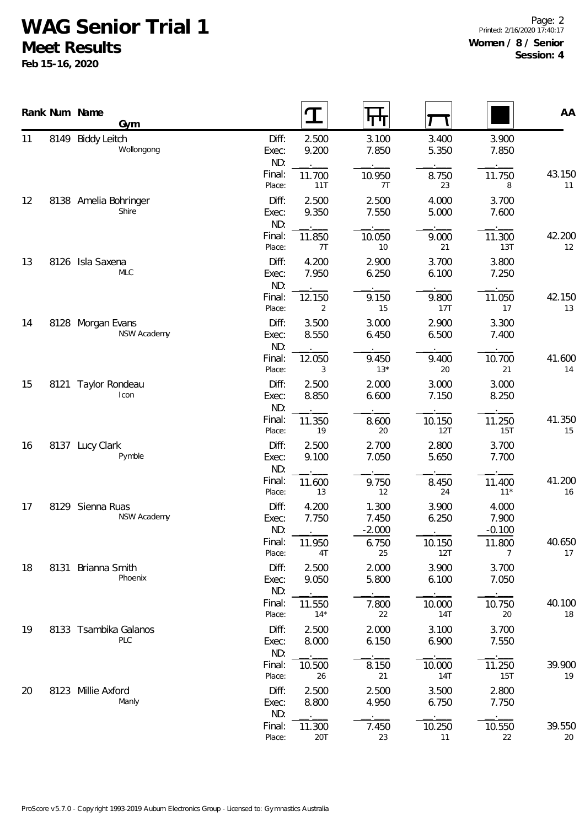## **WAG Senior Trial 1**

**Meet Results**

**Feb 15-16, 2020**

Page: 2 Printed: 2/16/2020 17:40:17 **Women / 8 / Senior Session: 4**

|          |      | Rank Num Name<br>Gym                    |                       | $\mathbf T$     | पण                         |                      |                            | AA               |
|----------|------|-----------------------------------------|-----------------------|-----------------|----------------------------|----------------------|----------------------------|------------------|
| 11       | 8149 | <b>Biddy Leitch</b><br>Wollongong       | Diff:<br>Exec:<br>ND: | 2.500<br>9.200  | 3.100<br>7.850             | 3.400<br>5.350       | 3.900<br>7.850             |                  |
|          |      |                                         | Final:<br>Place:      | 11.700<br>11T   | 10.950<br>7T               | 8.750<br>23          | 11.750<br>8                | 43.150<br>11     |
| 12       |      | 8138 Amelia Bohringer<br>Shire          | Diff:<br>Exec:<br>ND: | 2.500<br>9.350  | 2.500<br>7.550             | 4.000<br>5.000       | 3.700<br>7.600             |                  |
|          |      |                                         | Final:<br>Place:      | 11.850<br>7T    | 10.050<br>10               | 9.000<br>21          | 11.300<br>13T              | 42.200<br>12     |
| 13       |      | 8126 Isla Saxena<br><b>MLC</b>          | Diff:<br>Exec:<br>ND: | 4.200<br>7.950  | 2.900<br>6.250             | 3.700<br>6.100       | 3.800<br>7.250             |                  |
|          |      |                                         | Final:<br>Place:      | 12.150<br>2     | 9.150<br>15                | 9.800<br>17T         | 11.050<br>17               | 42.150<br>13     |
| 14<br>15 |      | 8128 Morgan Evans<br><b>NSW Academy</b> | Diff:<br>Exec:<br>ND: | 3.500<br>8.550  | 3.000<br>6.450             | 2.900<br>6.500       | 3.300<br>7.400             |                  |
|          |      |                                         | Final:<br>Place:      | 12.050<br>3     | 9.450<br>$13*$             | 9.400<br>20          | 10.700<br>21               | 41.600<br>14     |
|          |      | 8121 Taylor Rondeau<br>Icon             | Diff:<br>Exec:<br>ND: | 2.500<br>8.850  | 2.000<br>6.600             | 3.000<br>7.150       | 3.000<br>8.250             |                  |
|          |      |                                         | Final:<br>Place:      | 11.350<br>19    | 8.600<br>20                | 10.150<br>12T        | 11.250<br>15T              | 41.350<br>15     |
| 16       |      | 8137 Lucy Clark<br>Pymble               | Diff:<br>Exec:<br>ND: | 2.500<br>9.100  | 2.700<br>7.050             | 2.800<br>5.650       | 3.700<br>7.700             |                  |
|          |      |                                         | Final:<br>Place:      | 11.600<br>13    | 9.750<br>12                | 8.450<br>24          | 11.400<br>$11*$            | 41.200<br>16     |
| 17       |      | 8129 Sienna Ruas<br>NSW Academy         | Diff:<br>Exec:<br>ND: | 4.200<br>7.750  | 1.300<br>7.450<br>$-2.000$ | 3.900<br>6.250       | 4.000<br>7.900<br>$-0.100$ |                  |
|          |      |                                         | Final:<br>Place:      | 11.950<br>4T    | 6.750<br>25                | 10.150<br>12T        | 11.800<br>7                | 40.650<br>17     |
| 18       | 8131 | Brianna Smith<br>Phoenix                | Diff:<br>Exec:<br>ND: | 2.500<br>9.050  | 2.000<br>5.800             | 3.900<br>6.100       | 3.700<br>7.050             |                  |
|          |      |                                         | Final:<br>Place:      | 11.550<br>$14*$ | 7.800<br>22                | 10.000<br><b>14T</b> | 10.750<br>20               | 40.100<br>$18\,$ |
| 19       |      | 8133 Tsambika Galanos<br><b>PLC</b>     | Diff:<br>Exec:<br>ND: | 2.500<br>8.000  | 2.000<br>6.150             | 3.100<br>6.900       | 3.700<br>7.550             |                  |
|          |      |                                         | Final:<br>Place:      | 10.500<br>26    | 8.150<br>21                | 10.000<br>14T        | 11.250<br>15T              | 39.900<br>19     |
| 20       |      | 8123 Millie Axford<br>Manly             | Diff:<br>Exec:<br>ND: | 2.500<br>8.800  | 2.500<br>4.950             | 3.500<br>6.750       | 2.800<br>7.750             |                  |
|          |      |                                         | Final:<br>Place:      | 11.300<br>20T   | 7.450<br>23                | 10.250<br>11         | 10.550<br>22               | 39.550<br>20     |